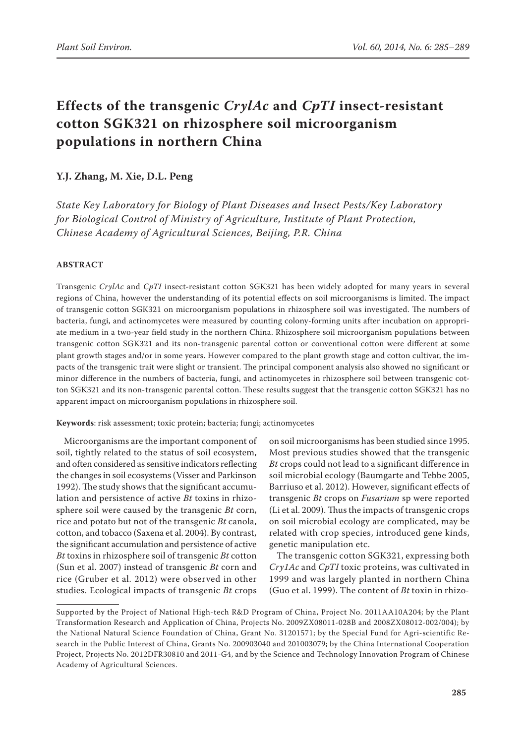# **Effects of the transgenic** *CrylAc* **and** *CpTI* **insect-resistant cotton SGK321 on rhizosphere soil microorganism populations in northern China**

## **Y.J. Zhang, M. Xie, D.L. Peng**

*State Key Laboratory for Biology of Plant Diseases and Insect Pests/Key Laboratory for Biological Control of Ministry of Agriculture, Institute of Plant Protection, Chinese Academy of Agricultural Sciences, Beijing, P.R. China*

### **ABSTRACT**

Transgenic *CrylAc* and *CpTI* insect-resistant cotton SGK321 has been widely adopted for many years in several regions of China, however the understanding of its potential effects on soil microorganisms is limited. The impact of transgenic cotton SGK321 on microorganism populations in rhizosphere soil was investigated. The numbers of bacteria, fungi, and actinomycetes were measured by counting colony-forming units after incubation on appropriate medium in a two-year field study in the northern China. Rhizosphere soil microorganism populations between transgenic cotton SGK321 and its non-transgenic parental cotton or conventional cotton were different at some plant growth stages and/or in some years. However compared to the plant growth stage and cotton cultivar, the impacts of the transgenic trait were slight or transient. The principal component analysis also showed no significant or minor difference in the numbers of bacteria, fungi, and actinomycetes in rhizosphere soil between transgenic cotton SGK321 and its non-transgenic parental cotton. These results suggest that the transgenic cotton SGK321 has no apparent impact on microorganism populations in rhizosphere soil.

**Keywords**: risk assessment; toxic protein; bacteria; fungi; actinomycetes

Microorganisms are the important component of soil, tightly related to the status of soil ecosystem, and often considered as sensitive indicators reflecting the changes in soil ecosystems (Visser and Parkinson 1992). The study shows that the significant accumulation and persistence of active *Bt* toxins in rhizosphere soil were caused by the transgenic *Bt* corn, rice and potato but not of the transgenic *Bt* canola, cotton, and tobacco (Saxena et al. 2004). By contrast, the significant accumulation and persistence of active *Bt* toxins in rhizosphere soil of transgenic *Bt* cotton (Sun et al. 2007) instead of transgenic *Bt* corn and rice (Gruber et al. 2012) were observed in other studies. Ecological impacts of transgenic *Bt* crops

on soil microorganisms has been studied since 1995. Most previous studies showed that the transgenic *Bt* crops could not lead to a significant difference in soil microbial ecology (Baumgarte and Tebbe 2005, Barriuso et al. 2012). However, significant effects of transgenic *Bt* crops on *Fusarium* sp were reported (Li et al. 2009). Thus the impacts of transgenic crops on soil microbial ecology are complicated, may be related with crop species, introduced gene kinds, genetic manipulation etc.

The transgenic cotton SGK321, expressing both *Cry1Ac* and *CpTI* toxic proteins, was cultivated in 1999 and was largely planted in northern China (Guo et al. 1999). The content of *Bt* toxin in rhizo-

Supported by the Project of National High-tech R&D Program of China, Project No. 2011AA10A204; by the Plant Transformation Research and Application of China, Projects No. 2009ZX08011-028B and 2008ZX08012-002/004); by the National Natural Science Foundation of China, Grant No. 31201571; by the Special Fund for Agri-scientific Research in the Public Interest of China, Grants No. 200903040 and 201003079; by the China International Cooperation Project, Projects No. 2012DFR30810 and 2011-G4, and by the Science and Technology Innovation Program of Chinese Academy of Agricultural Sciences.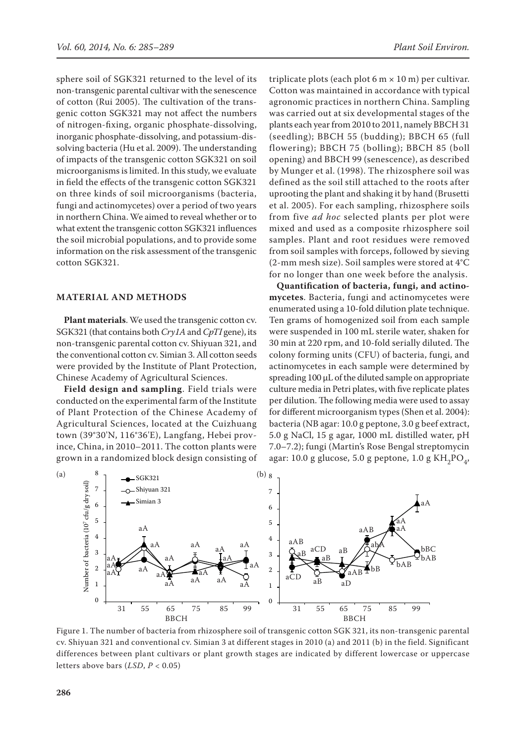sphere soil of SGK321 returned to the level of its non-transgenic parental cultivar with the senescence of cotton (Rui 2005). The cultivation of the transgenic cotton SGK321 may not affect the numbers of nitrogen-fixing, organic phosphate-dissolving, inorganic phosphate-dissolving, and potassium-dissolving bacteria (Hu et al. 2009). The understanding of impacts of the transgenic cotton SGK321 on soil microorganisms is limited. In this study, we evaluate in field the effects of the transgenic cotton SGK321 on three kinds of soil microorganisms (bacteria, fungi and actinomycetes) over a period of two years in northern China. We aimed to reveal whether or to what extent the transgenic cotton SGK321 influences the soil microbial populations, and to provide some information on the risk assessment of the transgenic cotton SGK321.

#### **MATERIAL AND METHODS**

**Plant materials**. We used the transgenic cotton cv. SGK321 (that contains both *Cry1A* and *CpTI* gene), its non-transgenic parental cotton cv. Shiyuan 321, and the conventional cotton cv. Simian 3. All cotton seeds were provided by the Institute of Plant Protection, Chinese Academy of Agricultural Sciences.

**Field design and sampling**. Field trials were conducted on the experimental farm of the Institute of Plant Protection of the Chinese Academy of Agricultural Sciences, located at the Cuizhuang town (39°30'N, 116°36'E), Langfang, Hebei province, China, in 2010–2011. The cotton plants were grown in a randomized block design consisting of

triplicate plots (each plot 6 m  $\times$  10 m) per cultivar. Cotton was maintained in accordance with typical agronomic practices in northern China. Sampling was carried out at six developmental stages of the plants each year from 2010 to 2011, namely BBCH 31 (seedling); BBCH 55 (budding); BBCH 65 (full flowering); BBCH 75 (bolling); BBCH 85 (boll opening) and BBCH 99 (senescence), as described by Munger et al. (1998). The rhizosphere soil was defined as the soil still attached to the roots after uprooting the plant and shaking it by hand (Brusetti et al. 2005). For each sampling, rhizosphere soils from five *ad hoc* selected plants per plot were mixed and used as a composite rhizosphere soil samples. Plant and root residues were removed from soil samples with forceps, followed by sieving (2-mm mesh size). Soil samples were stored at 4°C for no longer than one week before the analysis.

**Quantification of bacteria, fungi, and actinomycetes**. Bacteria, fungi and actinomycetes were enumerated using a 10-fold dilution plate technique. Ten grams of homogenized soil from each sample were suspended in 100 mL sterile water, shaken for 30 min at 220 rpm, and 10-fold serially diluted. The colony forming units (CFU) of bacteria, fungi, and actinomycetes in each sample were determined by spreading 100 μL of the diluted sample on appropriate culture media in Petri plates, with five replicate plates per dilution. The following media were used to assay for different microorganism types (Shen et al. 2004): bacteria (NB agar: 10.0 g peptone, 3.0 g beef extract, 5.0 g NaCl, 15 g agar, 1000 mL distilled water, pH 7.0–7.2); fungi (Martin's Rose Bengal streptomycin agar: 10.0 g glucose, 5.0 g peptone, 1.0 g KH<sub>2</sub>PO<sub>4</sub>,



Figure 1. The number of bacteria from rhizosphere soil of transgenic cotton SGK 321, its non-transgenic parental cv. Shiyuan 321 and conventional cv. Simian 3 at different stages in 2010 (a) and 2011 (b) in the field. Significant differences between plant cultivars or plant growth stages are indicated by different lowercase or uppercase letters above bars (*LSD*, *P* < 0.05)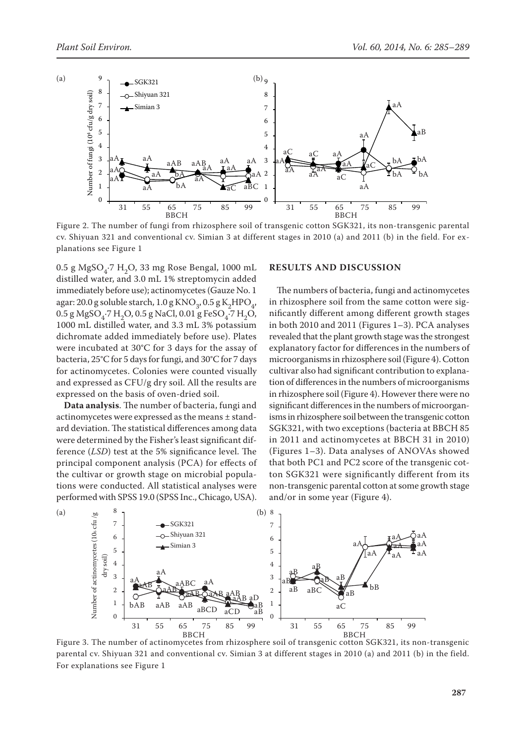

Figure 2. The number of fungi from rhizosphere soil of transgenic cotton SGK321, its non-transgenic parental cv. Shiyuan 321 and conventional cv. Simian 3 at different stages in 2010 (a) and 2011 (b) in the field. For explanations see Figure 1

0.5 g MgSO<sub>4</sub>.7 H<sub>2</sub>O, 33 mg Rose Bengal, 1000 mL distilled water, and 3.0 mL 1% streptomycin added immediately before use); actinomycetes (Gauze No. 1 agar: 20.0 g soluble starch,  $1.0$  g KNO<sub>3</sub>,  $0.5$  g K<sub>2</sub>HPO<sub>4</sub>,  $0.5$  g MgSO<sub>4</sub>·7 H<sub>2</sub>O,  $0.5$  g NaCl,  $0.01$  g FeSO<sub>4</sub>·7 H<sub>2</sub>O, 1000 mL distilled water, and 3.3 mL 3% potassium dichromate added immediately before use). Plates were incubated at 30°C for 3 days for the assay of bacteria, 25°C for 5 days for fungi, and 30°C for 7 days for actinomycetes. Colonies were counted visually and expressed as CFU/g dry soil. All the results are expressed on the basis of oven-dried soil.

**Data analysis**. The number of bacteria, fungi and actinomycetes were expressed as the means ± standard deviation. The statistical differences among data were determined by the Fisher's least significant difference (*LSD*) test at the 5% significance level. The principal component analysis (PCA) for effects of the cultivar or growth stage on microbial populations were conducted. All statistical analyses were performed with SPSS 19.0 (SPSS Inc., Chicago, USA).

#### **RESULTS AND DISCUSSION**

The numbers of bacteria, fungi and actinomycetes in rhizosphere soil from the same cotton were significantly different among different growth stages in both 2010 and 2011 (Figures 1–3). PCA analyses revealed that the plant growth stage was the strongest explanatory factor for differences in the numbers of microorganisms in rhizosphere soil (Figure 4). Cotton cultivar also had significant contribution to explanation of differences in the numbers of microorganisms in rhizosphere soil (Figure 4). However there were no significant differences in the numbers of microorganisms in rhizosphere soil between the transgenic cotton SGK321, with two exceptions (bacteria at BBCH 85 in 2011 and actinomycetes at BBCH 31 in 2010) (Figures 1–3). Data analyses of ANOVAs showed that both PC1 and PC2 score of the transgenic cotton SGK321 were significantly different from its non-transgenic parental cotton at some growth stage and/or in some year (Figure 4).



BBCH<br>Figure 3. The number of actinomycetes from rhizosphere soil of transgenic cotton SGK321, its non-transgenic parental cv. Shiyuan 321 and conventional cv. Simian 3 at different stages in 2010 (a) and 2011 (b) in the field. For explanations see Figure 1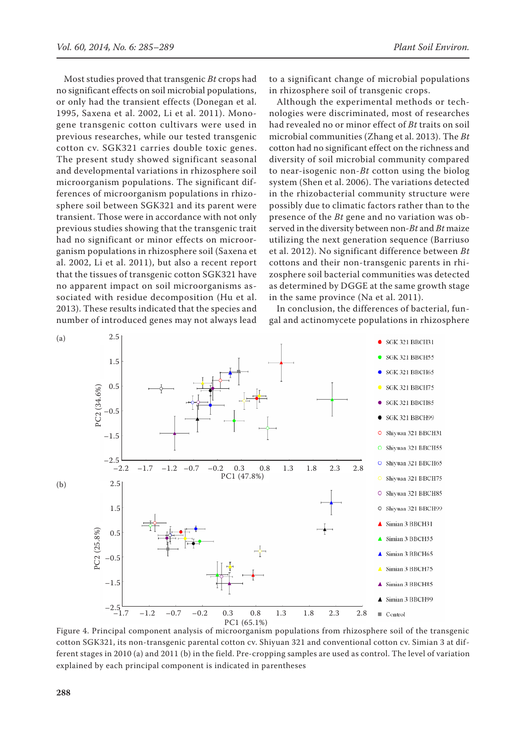Most studies proved that transgenic *Bt* crops had no significant effects on soil microbial populations, or only had the transient effects (Donegan et al. 1995, Saxena et al. 2002, Li et al. 2011). Monogene transgenic cotton cultivars were used in previous researches, while our tested transgenic cotton cv. SGK321 carries double toxic genes. The present study showed significant seasonal and developmental variations in rhizosphere soil microorganism populations. The significant differences of microorganism populations in rhizosphere soil between SGK321 and its parent were transient. Those were in accordance with not only previous studies showing that the transgenic trait had no significant or minor effects on microorganism populations in rhizosphere soil (Saxena et al. 2002, Li et al. 2011), but also a recent report that the tissues of transgenic cotton SGK321 have no apparent impact on soil microorganisms associated with residue decomposition (Hu et al. 2013). These results indicated that the species and number of introduced genes may not always lead to a significant change of microbial populations in rhizosphere soil of transgenic crops.

Although the experimental methods or technologies were discriminated, most of researches had revealed no or minor effect of *Bt* traits on soil microbial communities (Zhang et al. 2013). The *Bt* cotton had no significant effect on the richness and diversity of soil microbial community compared to near-isogenic non-*Bt* cotton using the biolog system (Shen et al. 2006). The variations detected in the rhizobacterial community structure were possibly due to climatic factors rather than to the presence of the *Bt* gene and no variation was observed in the diversity between non-*Bt* and *Bt* maize utilizing the next generation sequence (Barriuso et al. 2012). No significant difference between *Bt* cottons and their non-transgenic parents in rhizosphere soil bacterial communities was detected as determined by DGGE at the same growth stage in the same province (Na et al. 2011).

In conclusion, the differences of bacterial, fungal and actinomycete populations in rhizosphere



Figure 4. Principal component analysis of microorganism populations from rhizosphere soil of the transgenic cotton SGK321, its non-transgenic parental cotton cv. Shiyuan 321 and conventional cotton cv. Simian 3 at different stages in 2010 (a) and 2011 (b) in the field. Pre-cropping samples are used as control. The level of variation explained by each principal component is indicated in parentheses